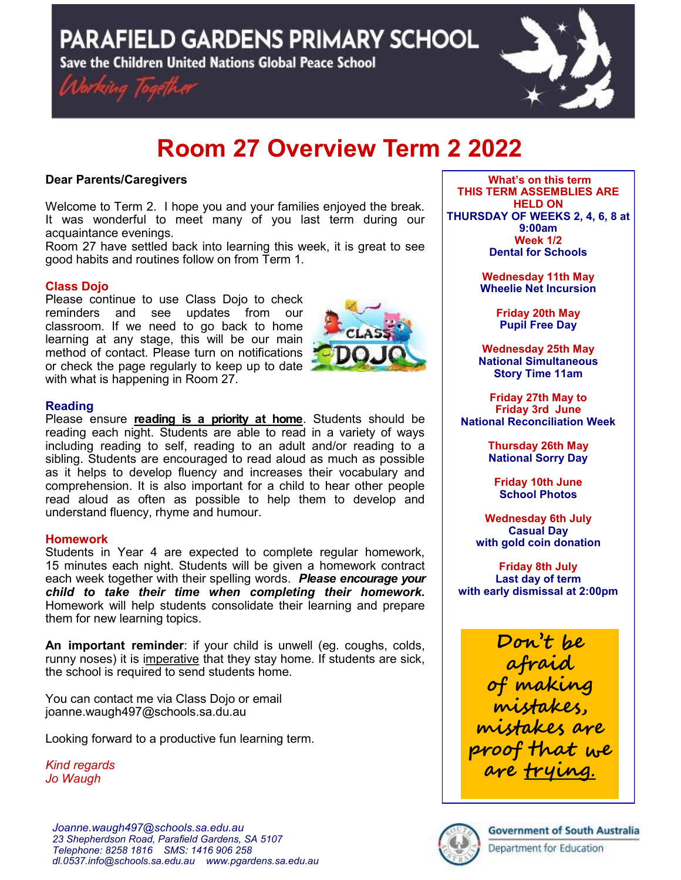PARAFIELD GARDENS PRIMARY SCHOOL

Save the Children United Nations Global Peace School





# **Room 27 Overview Term 2 2022**

# **Dear Parents/Caregivers**

Welcome to Term 2. I hope you and your families enjoyed the break. It was wonderful to meet many of you last term during our acquaintance evenings.

Room 27 have settled back into learning this week, it is great to see good habits and routines follow on from Term 1.

# **Class Dojo**

Please continue to use Class Dojo to check reminders and see updates from our classroom. If we need to go back to home learning at any stage, this will be our main method of contact. Please turn on notifications or check the page regularly to keep up to date with what is happening in Room 27.



## **Reading**

Please ensure **reading is a priority at home**. Students should be reading each night. Students are able to read in a variety of ways including reading to self, reading to an adult and/or reading to a sibling. Students are encouraged to read aloud as much as possible as it helps to develop fluency and increases their vocabulary and comprehension. It is also important for a child to hear other people read aloud as often as possible to help them to develop and understand fluency, rhyme and humour.

#### **Homework**

Students in Year 4 are expected to complete regular homework, 15 minutes each night. Students will be given a homework contract each week together with their spelling words. *Please encourage your child to take their time when completing their homework.*  Homework will help students consolidate their learning and prepare them for new learning topics.

**An important reminder**: if your child is unwell (eg. coughs, colds, runny noses) it is imperative that they stay home. If students are sick, the school is required to send students home.

You can contact me via Class Dojo or email joanne.waugh497@schools.sa.du.au

Looking forward to a productive fun learning term.

*Kind regards Jo Waugh*

**What's on this term THIS TERM ASSEMBLIES ARE HELD ON THURSDAY OF WEEKS 2, 4, 6, 8 at 9:00am Week 1/2 Dental for Schools**

> **Wednesday 11th May Wheelie Net Incursion**

> > **Friday 20th May Pupil Free Day**

**Wednesday 25th May National Simultaneous Story Time 11am**

**Friday 27th May to Friday 3rd June National Reconciliation Week**

> **Thursday 26th May National Sorry Day**

**Friday 10th June School Photos**

**Wednesday 6th July Casual Day with gold coin donation**

**Friday 8th July Last day of term with early dismissal at 2:00pm**

**Don't be afraid of making mistakes, mistakes are proof that we are trying**.



**Government of South Australia**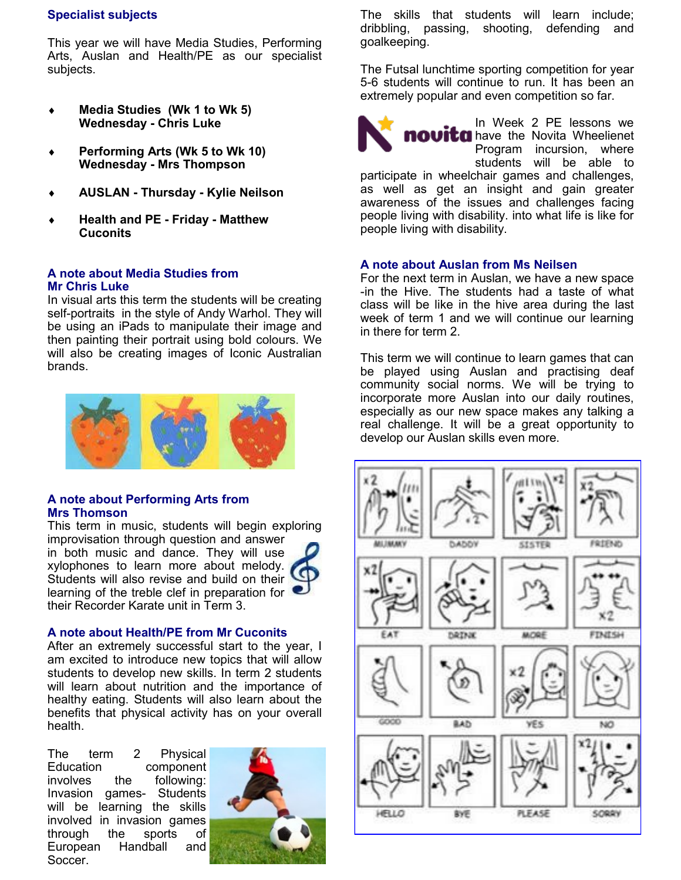# **Specialist subjects**

This year we will have Media Studies, Performing Arts, Auslan and Health/PE as our specialist subjects.

- **Media Studies (Wk 1 to Wk 5) Wednesday - Chris Luke**
- **Performing Arts (Wk 5 to Wk 10) Wednesday - Mrs Thompson**
- **AUSLAN - Thursday - Kylie Neilson**
- **Health and PE - Friday - Matthew Cuconits**

#### **A note about Media Studies from Mr Chris Luke**

In visual arts this term the students will be creating self-portraits in the style of Andy Warhol. They will be using an iPads to manipulate their image and then painting their portrait using bold colours. We will also be creating images of Iconic Australian brands.



# **A note about Performing Arts from Mrs Thomson**

This term in music, students will begin exploring improvisation through question and answer in both music and dance. They will use xylophones to learn more about melody. Students will also revise and build on their learning of the treble clef in preparation for their Recorder Karate unit in Term 3.



#### **A note about Health/PE from Mr Cuconits**

After an extremely successful start to the year, I am excited to introduce new topics that will allow students to develop new skills. In term 2 students will learn about nutrition and the importance of healthy eating. Students will also learn about the benefits that physical activity has on your overall health.

The term 2 Physical Education component involves the following: Invasion games- Students will be learning the skills involved in invasion games through the sports of European Handball and Soccer.



The skills that students will learn include; dribbling, passing, shooting, defending and goalkeeping.

The Futsal lunchtime sporting competition for year 5-6 students will continue to run. It has been an extremely popular and even competition so far.



In Week 2 PE lessons we **novita** have the Novita Wheelienet Program incursion, where students will be able to

participate in wheelchair games and challenges, as well as get an insight and gain greater awareness of the issues and challenges facing people living with disability. into what life is like for people living with disability.

## **A note about Auslan from Ms Neilsen**

For the next term in Auslan, we have a new space -in the Hive. The students had a taste of what class will be like in the hive area during the last week of term 1 and we will continue our learning in there for term 2.

This term we will continue to learn games that can be played using Auslan and practising deaf community social norms. We will be trying to incorporate more Auslan into our daily routines, especially as our new space makes any talking a real challenge. It will be a great opportunity to develop our Auslan skills even more.